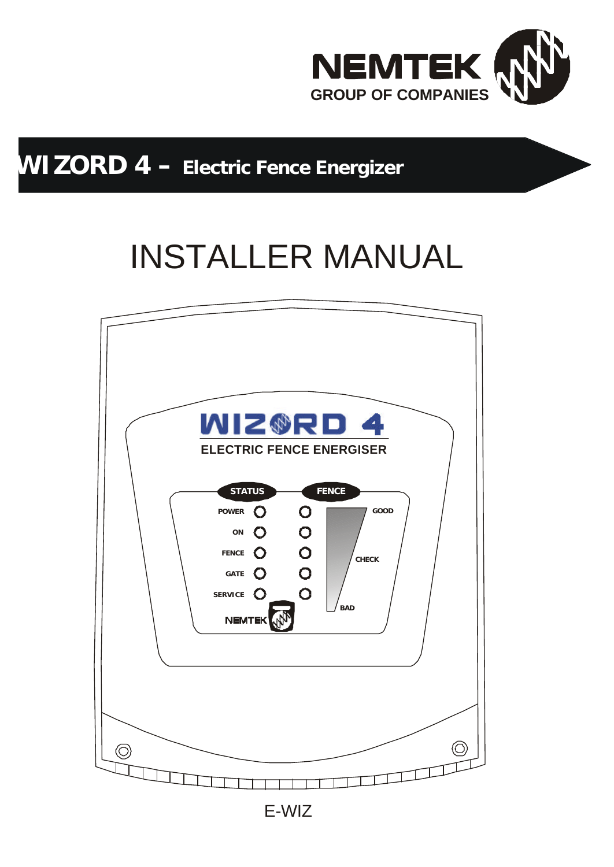

# **WIZORD 4 – Electric Fence Energizer**

# INSTALLER MANUAL

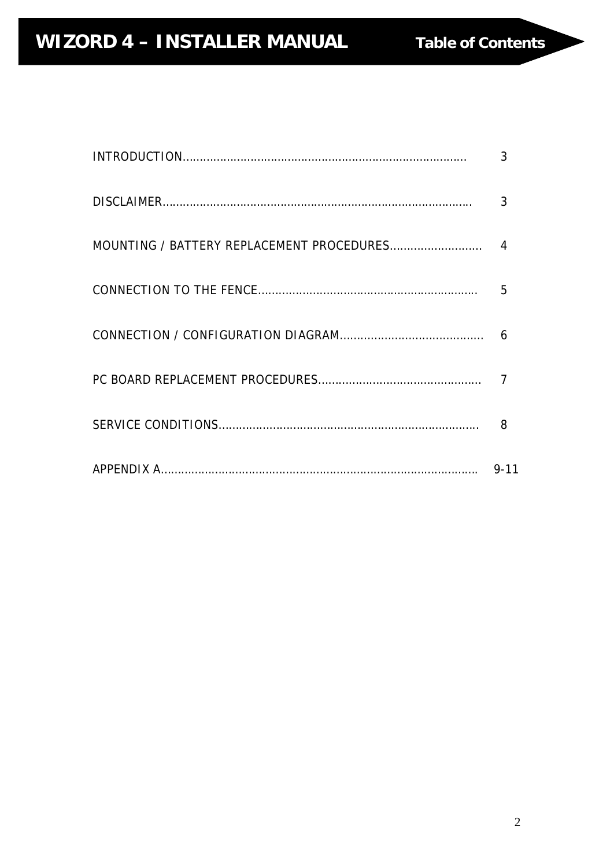| 3              |
|----------------|
| 3              |
| $\overline{4}$ |
| 5              |
| 6              |
|                |
| 8              |
| $9 - 11$       |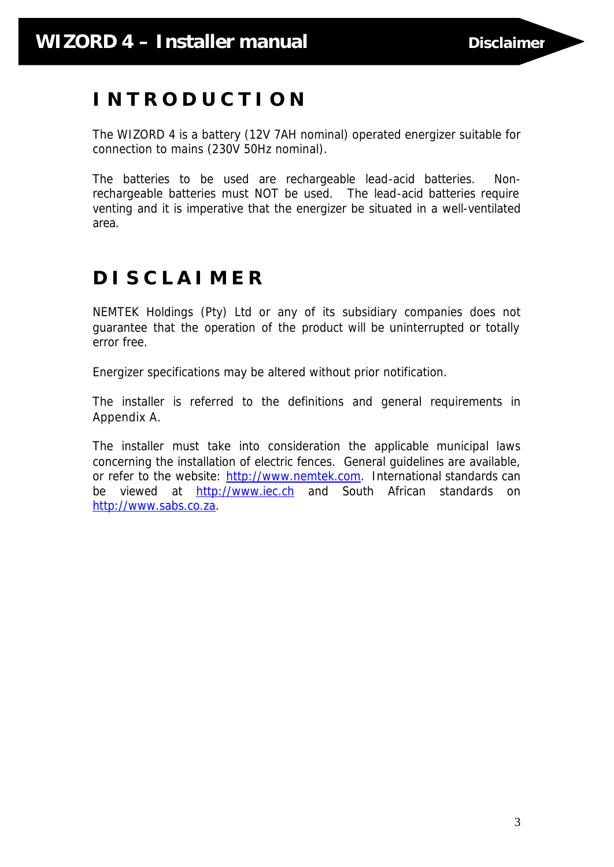# **I N T R O D U C T I O N**

The WIZORD 4 is a battery (12V 7AH nominal) operated energizer suitable for connection to mains (230V 50Hz nominal).

The batteries to be used are rechargeable lead-acid batteries. Nonrechargeable batteries must NOT be used. The lead-acid batteries require venting and it is imperative that the energizer be situated in a well-ventilated area.

# **D I S C L A I M E R**

NEMTEK Holdings (Pty) Ltd or any of its subsidiary companies does not guarantee that the operation of the product will be uninterrupted or totally error free.

Energizer specifications may be altered without prior notification.

The installer is referred to the definitions and general requirements in Appendix A.

The installer must take into consideration the applicable municipal laws concerning the installation of electric fences. General guidelines are available, or refer to the website: http://www.nemtek.com. International standards can be viewed at http://www.iec.ch and South African standards on http://www.sabs.co.za.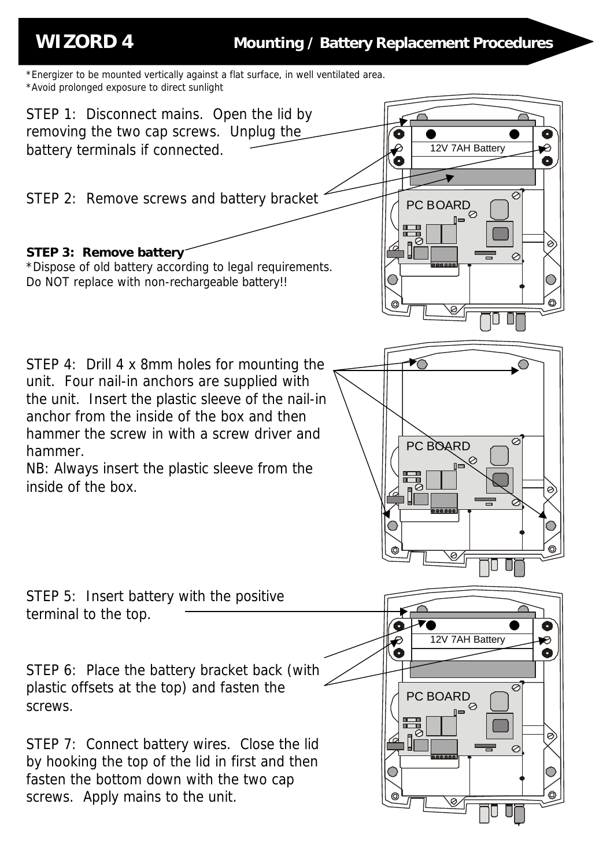\*Energizer to be mounted vertically against a flat surface, in well ventilated area. \*Avoid prolonged exposure to direct sunlight

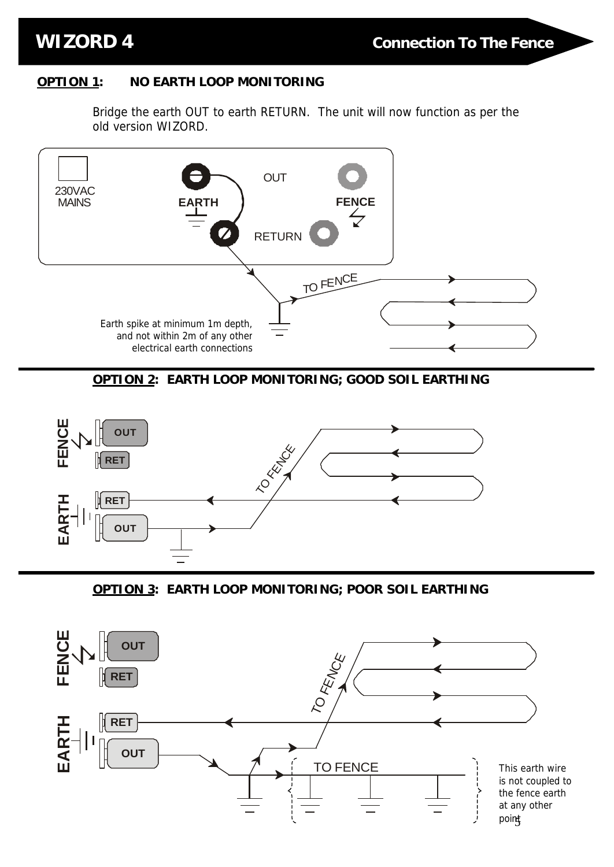## **OPTION 1: NO EARTH LOOP MONITORING**

Bridge the earth OUT to earth RETURN. The unit will now function as per the old version WIZORD.



**OPTION 2: EARTH LOOP MONITORING; GOOD SOIL EARTHING**



**OPTION 3: EARTH LOOP MONITORING; POOR SOIL EARTHING**

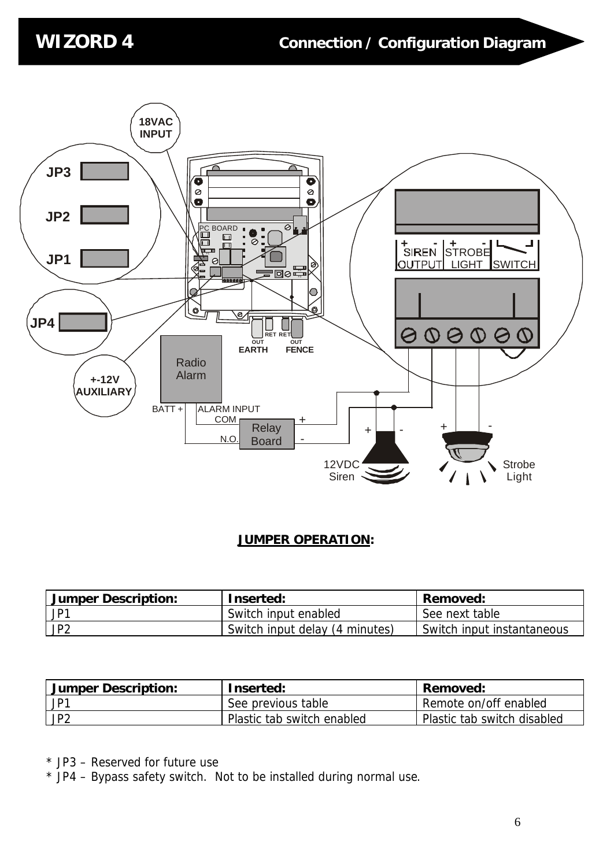

## **JUMPER OPERATION:**

| Jumper Description:                  | Inserted:                      | Removed:                   |
|--------------------------------------|--------------------------------|----------------------------|
| $\mathsf{J} \mathsf{P}^{\mathsf{T}}$ | Switch input enabled           | See next table             |
| JP <sub>2</sub>                      | Switch input delay (4 minutes) | Switch input instantaneous |

| <b>Jumper Description:</b>     | Inserted:                  | Removed:                    |
|--------------------------------|----------------------------|-----------------------------|
| $\mathsf{J} \mathsf{P}^{\tau}$ | See previous table         | Remote on/off enabled       |
| JP <sub>2</sub>                | Plastic tab switch enabled | Plastic tab switch disabled |

\* JP3 – Reserved for future use

\* JP4 – Bypass safety switch. Not to be installed during normal use.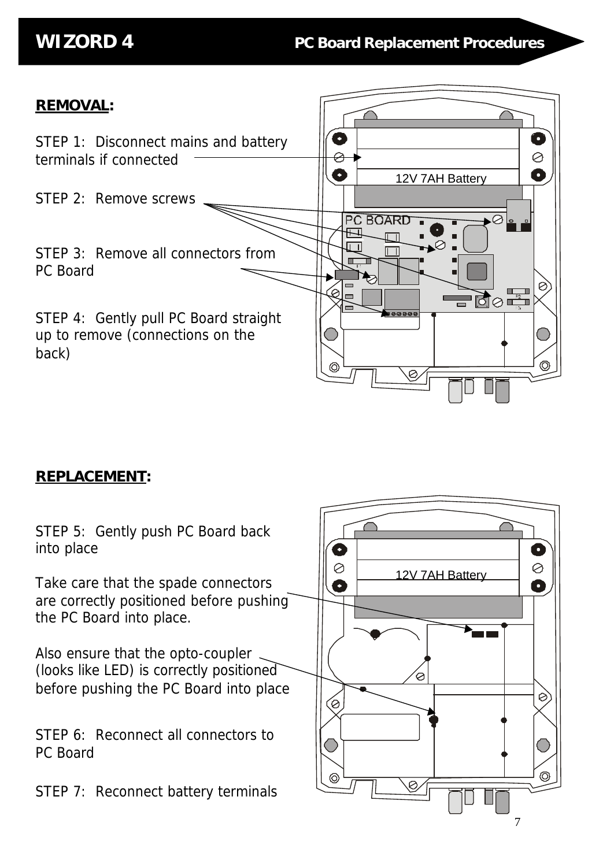12V 7AH Battery

G

 $\circledcirc$ 

**PC BOARD** 

 $\sqrt{ }$ 

 $a$ aaac

互  $\overline{11}$ 

 $\bullet$  $\varnothing$ Ô

Ø

 $\circledcirc$ 

# **REMOVAL:**

STEP 1: Disconnect mains and battery terminals if connected

STEP 2: Remove screws

STEP 3: Remove all connectors from PC Board

STEP 4: Gently pull PC Board straight up to remove (connections on the back)

# **REPLACEMENT:**

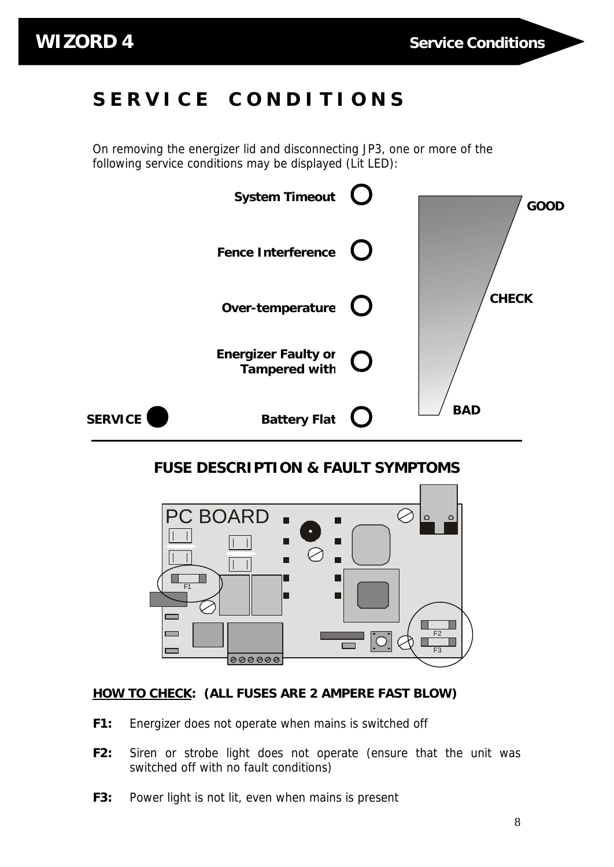# **S E R V I C E C O N D I T I O N S**

On removing the energizer lid and disconnecting JP3, one or more of the following service conditions may be displayed (Lit LED):



# **FUSE DESCRIPTION & FAULT SYMPTOMS**



### **HOW TO CHECK: (ALL FUSES ARE 2 AMPERE FAST BLOW)**

- **F1:** Energizer does not operate when mains is switched off
- **F2:** Siren or strobe light does not operate (ensure that the unit was switched off with no fault conditions)
- **F3:** Power light is not lit, even when mains is present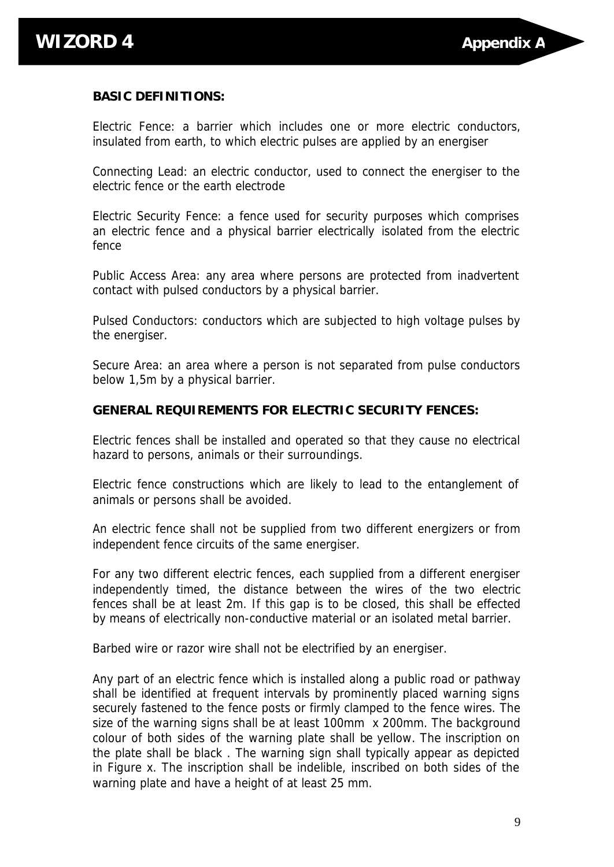### **BASIC DEFINITIONS:**

Electric Fence: a barrier which includes one or more electric conductors, insulated from earth, to which electric pulses are applied by an energiser

Connecting Lead: an electric conductor, used to connect the energiser to the electric fence or the earth electrode

Electric Security Fence: a fence used for security purposes which comprises an electric fence and a physical barrier electrically isolated from the electric fence

Public Access Area: any area where persons are protected from inadvertent contact with pulsed conductors by a physical barrier.

Pulsed Conductors: conductors which are subjected to high voltage pulses by the energiser.

Secure Area: an area where a person is not separated from pulse conductors below 1,5m by a physical barrier.

### **GENERAL REQUIREMENTS FOR ELECTRIC SECURITY FENCES:**

Electric fences shall be installed and operated so that they cause no electrical hazard to persons, animals or their surroundings.

Electric fence constructions which are likely to lead to the entanglement of animals or persons shall be avoided.

An electric fence shall not be supplied from two different energizers or from independent fence circuits of the same energiser.

For any two different electric fences, each supplied from a different energiser independently timed, the distance between the wires of the two electric fences shall be at least 2m. If this gap is to be closed, this shall be effected by means of electrically non-conductive material or an isolated metal barrier.

Barbed wire or razor wire shall not be electrified by an energiser.

Any part of an electric fence which is installed along a public road or pathway shall be identified at frequent intervals by prominently placed warning signs securely fastened to the fence posts or firmly clamped to the fence wires. The size of the warning signs shall be at least 100mm x 200mm. The background colour of both sides of the warning plate shall be yellow. The inscription on the plate shall be black . The warning sign shall typically appear as depicted in Figure x. The inscription shall be indelible, inscribed on both sides of the warning plate and have a height of at least 25 mm.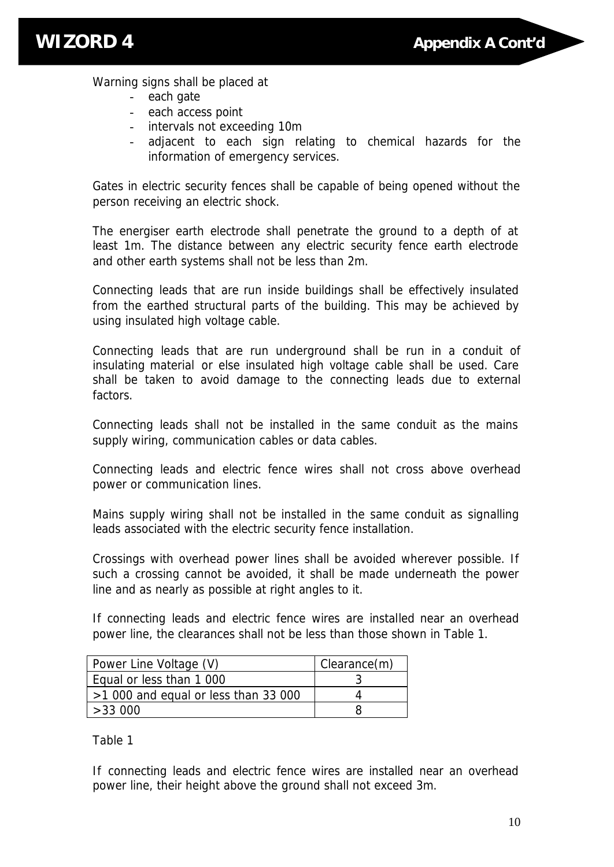

Warning signs shall be placed at

- each gate
- each access point
- intervals not exceeding 10m
- adjacent to each sign relating to chemical hazards for the information of emergency services.

Gates in electric security fences shall be capable of being opened without the person receiving an electric shock.

The energiser earth electrode shall penetrate the ground to a depth of at least 1m. The distance between any electric security fence earth electrode and other earth systems shall not be less than 2m.

Connecting leads that are run inside buildings shall be effectively insulated from the earthed structural parts of the building. This may be achieved by using insulated high voltage cable.

Connecting leads that are run underground shall be run in a conduit of insulating material or else insulated high voltage cable shall be used. Care shall be taken to avoid damage to the connecting leads due to external factors.

Connecting leads shall not be installed in the same conduit as the mains supply wiring, communication cables or data cables.

Connecting leads and electric fence wires shall not cross above overhead power or communication lines.

Mains supply wiring shall not be installed in the same conduit as signalling leads associated with the electric security fence installation.

Crossings with overhead power lines shall be avoided wherever possible. If such a crossing cannot be avoided, it shall be made underneath the power line and as nearly as possible at right angles to it.

If connecting leads and electric fence wires are installed near an overhead power line, the clearances shall not be less than those shown in Table 1.

| Power Line Voltage (V)               | Clearance(m) |
|--------------------------------------|--------------|
| Equal or less than 1 000             |              |
| $>1000$ and equal or less than 33000 |              |
| >33000                               |              |

Table 1

If connecting leads and electric fence wires are installed near an overhead power line, their height above the ground shall not exceed 3m.